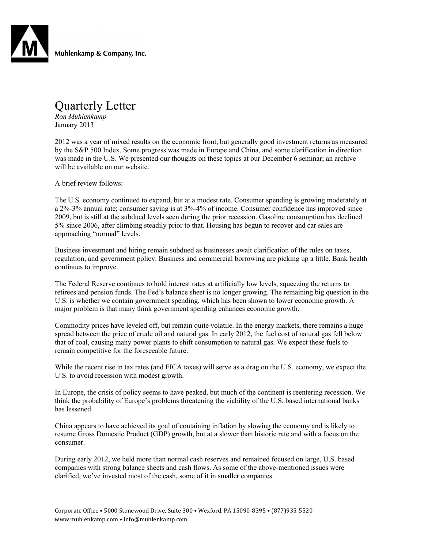

Muhlenkamp & Company, Inc.

## Quarterly Letter

*Ron Muhlenkamp* January 2013

2012 was a year of mixed results on the economic front, but generally good investment returns as measured by the S&P 500 Index. Some progress was made in Europe and China, and some clarification in direction was made in the U.S. We presented our thoughts on these topics at our December 6 seminar; an archive will be available on our website.

A brief review follows:

The U.S. economy continued to expand, but at a modest rate. Consumer spending is growing moderately at a 2%-3% annual rate; consumer saving is at 3%-4% of income. Consumer confidence has improved since 2009, but is still at the subdued levels seen during the prior recession. Gasoline consumption has declined 5% since 2006, after climbing steadily prior to that. Housing has begun to recover and car sales are approaching "normal" levels.

Business investment and hiring remain subdued as businesses await clarification of the rules on taxes, regulation, and government policy. Business and commercial borrowing are picking up a little. Bank health continues to improve.

The Federal Reserve continues to hold interest rates at artificially low levels, squeezing the returns to retirees and pension funds. The Fed's balance sheet is no longer growing. The remaining big question in the U.S. is whether we contain government spending, which has been shown to lower economic growth. A major problem is that many think government spending enhances economic growth.

Commodity prices have leveled off, but remain quite volatile. In the energy markets, there remains a huge spread between the price of crude oil and natural gas. In early 2012, the fuel cost of natural gas fell below that of coal, causing many power plants to shift consumption to natural gas. We expect these fuels to remain competitive for the foreseeable future.

While the recent rise in tax rates (and FICA taxes) will serve as a drag on the U.S. economy, we expect the U.S. to avoid recession with modest growth.

In Europe, the crisis of policy seems to have peaked, but much of the continent is reentering recession. We think the probability of Europe's problems threatening the viability of the U.S. based international banks has lessened.

China appears to have achieved its goal of containing inflation by slowing the economy and is likely to resume Gross Domestic Product (GDP) growth, but at a slower than historic rate and with a focus on the consumer.

During early 2012, we held more than normal cash reserves and remained focused on large, U.S. based companies with strong balance sheets and cash flows. As some of the above-mentioned issues were clarified, we've invested most of the cash, some of it in smaller companies.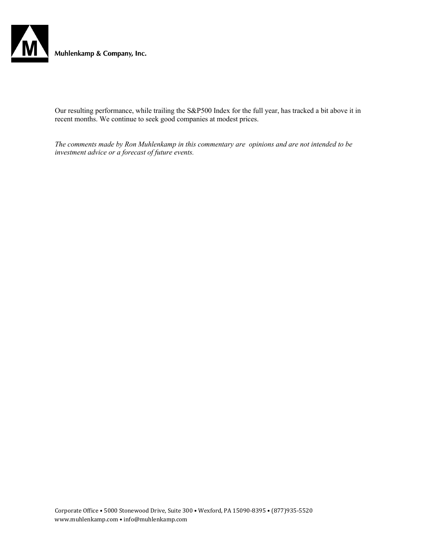

Muhlenkamp & Company, Inc.

Our resulting performance, while trailing the S&P500 Index for the full year, has tracked a bit above it in recent months. We continue to seek good companies at modest prices.

*The comments made by Ron Muhlenkamp in this commentary are opinions and are not intended to be investment advice or a forecast of future events.*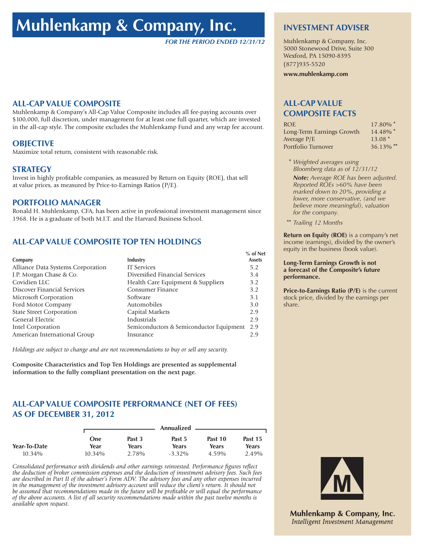# **Muhlenkamp & Company, Inc.**

*FOR THE PERIOD ENDED 12/31/12*

#### **ALL-CAP VALUE COMPOSITE**

Muhlenkamp & Company's All-Cap Value Composite includes all fee-paying accounts over \$100,000, full discretion, under management for at least one full quarter, which are invested in the all-cap style. The composite excludes the Muhlenkamp Fund and any wrap fee account.

### **OBJECTIVE**

Maximize total return, consistent with reasonable risk.

## **STRATEGY**

Invest in highly profitable companies, as measured by Return on Equity (ROE), that sell at value prices, as measured by Price-to-Earnings Ratios (P/E).

## **PORTFOLIO MANAGER**

Ronald H. Muhlenkamp, CFA, has been active in professional investment management since 1968. He is a graduate of both M.I.T. and the Harvard Business School.

## **ALL-CAP VALUE COMPOSITE TOP TEN HOLDINGS**

|                                   | Industry                                 | % of Net<br><b>Assets</b> |
|-----------------------------------|------------------------------------------|---------------------------|
| Company                           |                                          |                           |
| Alliance Data Systems Corporation | <b>IT Services</b>                       | 5.2                       |
| J.P. Morgan Chase & Co.           | Diversified Financial Services           | 3.4                       |
| Covidien LLC                      | Health Care Equipment & Suppliers        | 3.2                       |
| Discover Financial Services       | Consumer Finance                         | 3.2                       |
| Microsoft Corporation             | Software                                 | 3.1                       |
| Ford Motor Company                | Automobiles                              | 3.0                       |
| <b>State Street Corporation</b>   | Capital Markets                          | 2.9                       |
| General Electric                  | Industrials                              | 2.9                       |
| Intel Corporation                 | Semiconductors & Semiconductor Equipment | 2.9                       |
| American International Group      | Insurance                                | 2.9                       |

*Holdings are subject to change and are not recommendations to buy or sell any security.*

**Composite Characteristics and Top Ten Holdings are presented as supplemental information to the fully compliant presentation on the next page.**

## **ALL-CAP VALUE COMPOSITE PERFORMANCE (NET OF FEES) AS OF DECEMBER 31, 2012**

|              |           |        | Annualized |          |         |  |
|--------------|-----------|--------|------------|----------|---------|--|
|              | One       | Past 3 | Past 5     | Past 10  | Past 15 |  |
| Year-To-Date | Year      | Years  | Years      | Years    | Years   |  |
| $10.34\%$    | $10.34\%$ | 2.78%  | $-3.32\%$  | $4.59\%$ | 2.49%   |  |

*Consolidated performance with dividends and other earnings reinvested. Performance figures reflect the deduction of broker commission expenses and the deduction of investment advisory fees. Such fees are described in Part II of the adviser's Form ADV. The advisory fees and any other expenses incurred in the management of the investment advisory account will reduce the client's return. It should not be assumed that recommendations made in the future will be profitable or will equal the performance of the above accounts. A list of all security recommendations made within the past twelve months is available upon request.*

#### **INVESTMENT ADVISER**

Muhlenkamp & Company, Inc. 5000 Stonewood Drive, Suite 300 Wexford, PA 15090-8395 (877)935-5520

**www.muhlenkamp.com**

## **ALL-CAP VALUE COMPOSITE FACTS**

| $17.80\%$ *             |
|-------------------------|
| $14.48\%$ *             |
| $13.08*$                |
| $36.13\%$ <sup>**</sup> |
|                         |

- **\*** *Weighted averages using Bloomberg data as of 12/31/12*
- *Note: Average ROE has been adjusted. Reported ROEs >60% have been marked down to 20%, providing a lower, more conservative, (and we believe more meaningful), valuation for the company.*
- **\*\*** *Trailing 12 Months*

**Return on Equity (ROE)** is a company's net income (earnings), divided by the owner's equity in the business (book value).

#### **Long-Term Earnings Growth is not a forecast of the Composite's future performance.**

**Price-to-Earnings Ratio (P/E)** is the current stock price, divided by the earnings per share.



**Muhlenkamp & Company, Inc.** Intelligent Investment Management